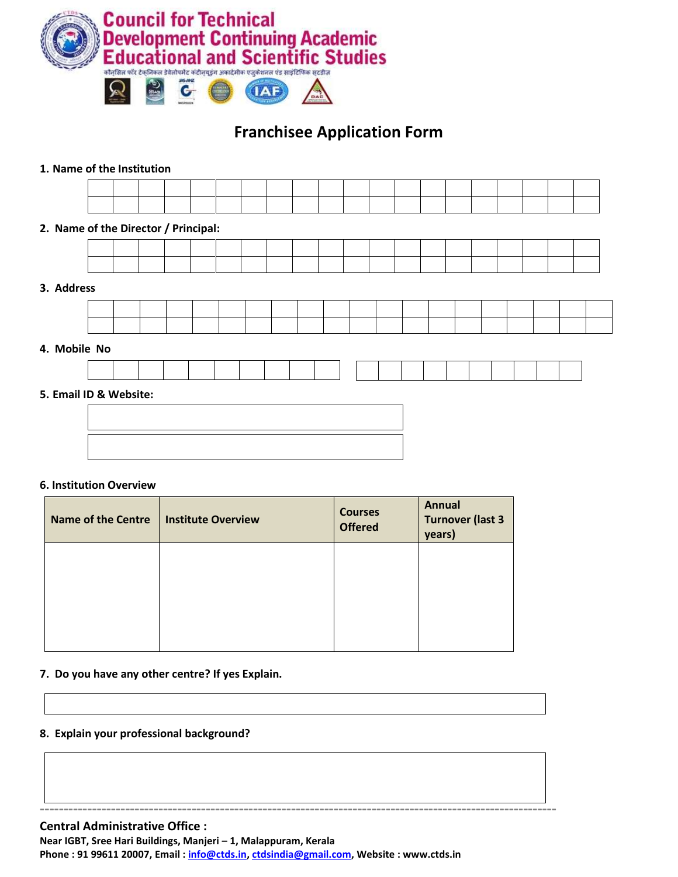

# **Franchisee Application Form**

## **1. Name of the Institution**

| 2. Name of the Director / Principal: |  |  |  |  |  |  |  |  |  |  |
|--------------------------------------|--|--|--|--|--|--|--|--|--|--|
|                                      |  |  |  |  |  |  |  |  |  |  |
|                                      |  |  |  |  |  |  |  |  |  |  |
| 3. Address                           |  |  |  |  |  |  |  |  |  |  |
|                                      |  |  |  |  |  |  |  |  |  |  |
|                                      |  |  |  |  |  |  |  |  |  |  |
| 4. Mobile No                         |  |  |  |  |  |  |  |  |  |  |
|                                      |  |  |  |  |  |  |  |  |  |  |
| 5. Email ID & Website:               |  |  |  |  |  |  |  |  |  |  |
|                                      |  |  |  |  |  |  |  |  |  |  |

#### **6. Institution Overview**

| <b>Name of the Centre</b> | <b>Institute Overview</b> | <b>Courses</b><br><b>Offered</b> | <b>Annual</b><br><b>Turnover (last 3</b><br>years) |
|---------------------------|---------------------------|----------------------------------|----------------------------------------------------|
|                           |                           |                                  |                                                    |
|                           |                           |                                  |                                                    |
|                           |                           |                                  |                                                    |

## **7. Do you have any other centre? If yes Explain.**

#### **8. Explain your professional background?**

**Central Administrative Office :** 

**Near IGBT, Sree Hari Buildings, Manjeri – 1, Malappuram, Kerala**

**Phone : 91 99611 20007, Email : [info@ctds.in,](mailto:info@ctds.in) [ctdsindia@gmail.com,](mailto:ctdsindia@gmail.com) Website : www.ctds.in**

**-------------------------------------------------------------------------------------------------------------**